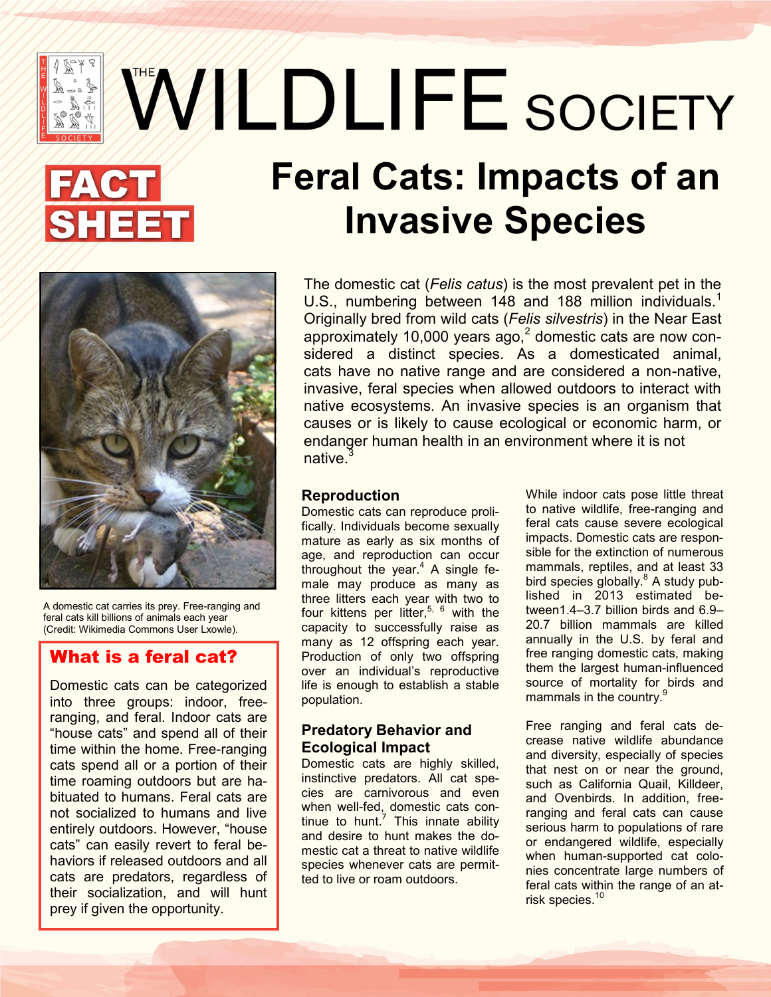# WWLDLIFE SOCIETY

## **Feral Cats: Impacts of an Invasive Species**



A domestic cat carries its prey. Free-ranging and feral cats kill billions of animals each year (Credit: Wikimedia Commons User Lxowle).

#### What is a feral cat?

Domestic cats can be categorized into three groups: indoor, freeranging, and feral. Indoor cats are "house cats" and spend all of their time within the home. Free-ranging cats spend all or a portion of their time roaming outdoors but are habituated to humans. Feral cats are not socialized to humans and live entirely outdoors. However, "house cats" can easily revert to feral behaviors if released outdoors and all cats are predators, regardless of their socialization, and will hunt prey if given the opportunity.

The domestic cat (*Felis catus*) is the most prevalent pet in the U.S., numbering between 148 and 188 million individuals.<sup>1</sup> Originally bred from wild cats (*Felis silvestris*) in the Near East approximately 10,000 years ago, $2$  domestic cats are now considered a distinct species. As a domesticated animal, cats have no native range and are considered a non-native, invasive, feral species when allowed outdoors to interact with native ecosystems. An invasive species is an organism that causes or is likely to cause ecological or economic harm, or endanger human health in an environment where it is not native.

#### **Reproduction**

Domestic cats can reproduce prolifically. Individuals become sexually mature as early as six months of age, and reproduction can occur throughout the year. $4$  A single female may produce as many as three litters each year with two to four kittens per litter,<sup>5, 6</sup> with the capacity to successfully raise as many as 12 offspring each year. Production of only two offspring over an individual's reproductive life is enough to establish a stable population.

#### **Predatory Behavior and Ecological Impact**

Domestic cats are highly skilled, instinctive predators. All cat species are carnivorous and even when well-fed, domestic cats continue to hunt.<sup>7</sup> This innate ability and desire to hunt makes the domestic cat a threat to native wildlife species whenever cats are permitted to live or roam outdoors.

While indoor cats pose little threat to native wildlife, free-ranging and feral cats cause severe ecological impacts. Domestic cats are responsible for the extinction of numerous mammals, reptiles, and at least 33 bird species globally.<sup>8</sup> A study published in 2013 estimated between1.4–3.7 billion birds and 6.9– 20.7 billion mammals are killed annually in the U.S. by feral and free ranging domestic cats, making them the largest human-influenced source of mortality for birds and mammals in the country.<sup>9</sup>

Free ranging and feral cats decrease native wildlife abundance and diversity, especially of species that nest on or near the ground, such as California Quail, Killdeer, and Ovenbirds. In addition, freeranging and feral cats can cause serious harm to populations of rare or endangered wildlife, especially when human-supported cat colonies concentrate large numbers of feral cats within the range of an atrisk species.<sup>10</sup>